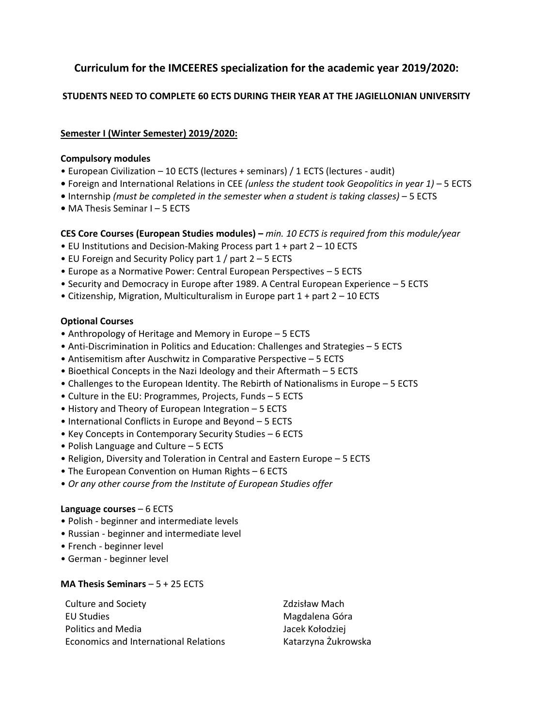# **Curriculum for the IMCEERES specialization for the academic year 2019/2020:**

# **STUDENTS NEED TO COMPLETE 60 ECTS DURING THEIR YEAR AT THE JAGIELLONIAN UNIVERSITY**

## **Semester I (Winter Semester) 2019/2020:**

### **Compulsory modules**

- European Civilization 10 ECTS (lectures + seminars) / 1 ECTS (lectures audit)
- **•** Foreign and International Relations in CEE *(unless the student took Geopolitics in year 1) –* 5 ECTS
- **•** Internship *(must be completed in the semester when a student is taking classes)* 5 ECTS
- **•** MA Thesis Seminar I 5 ECTS

# **CES Core Courses (European Studies modules) –** *min. 10 ECTS is required from this module/year*

- EU Institutions and Decision-Making Process part 1 + part 2 10 ECTS
- EU Foreign and Security Policy part 1 / part 2 5 ECTS
- Europe as a Normative Power: Central European Perspectives 5 ECTS
- Security and Democracy in Europe after 1989. A Central European Experience 5 ECTS
- Citizenship, Migration, Multiculturalism in Europe part 1 + part 2 10 ECTS

## **Optional Courses**

- Anthropology of Heritage and Memory in Europe 5 ECTS
- Anti-Discrimination in Politics and Education: Challenges and Strategies 5 ECTS
- Antisemitism after Auschwitz in Comparative Perspective 5 ECTS
- Bioethical Concepts in the Nazi Ideology and their Aftermath 5 ECTS
- Challenges to the European Identity. The Rebirth of Nationalisms in Europe 5 ECTS
- Culture in the EU: Programmes, Projects, Funds 5 ECTS
- History and Theory of European Integration 5 ECTS
- International Conflicts in Europe and Beyond 5 ECTS
- Key Concepts in Contemporary Security Studies 6 ECTS
- Polish Language and Culture 5 ECTS
- Religion, Diversity and Toleration in Central and Eastern Europe 5 ECTS
- The European Convention on Human Rights 6 ECTS
- *Or any other course from the Institute of European Studies offer*

## **Language courses** – 6 ECTS

- Polish beginner and intermediate levels
- Russian beginner and intermediate level
- French beginner level
- German beginner level

## **MA Thesis Seminars** – 5 + 25 ECTS

| <b>Culture and Society</b>            | <b>Zdzisław Mach</b> |
|---------------------------------------|----------------------|
| EU Studies                            | Magdalena Góra       |
| <b>Politics and Media</b>             | Jacek Kołodziej      |
| Economics and International Relations | Katarzyna Żukrowska  |